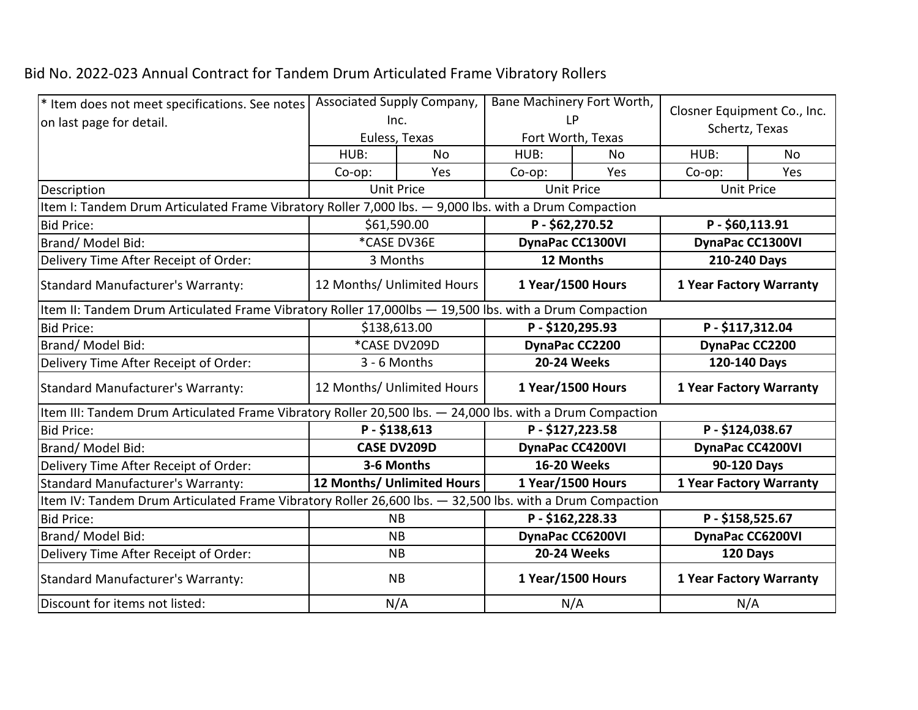## Bid No. 2022-023 Annual Contract for Tandem Drum Articulated Frame Vibratory Rollers

| * Item does not meet specifications. See notes                                                            | Associated Supply Company,<br>Inc.                                                                     |                            | Bane Machinery Fort Worth,<br><b>LP</b> |                    | Closner Equipment Co., Inc.<br>Schertz, Texas |           |  |  |  |
|-----------------------------------------------------------------------------------------------------------|--------------------------------------------------------------------------------------------------------|----------------------------|-----------------------------------------|--------------------|-----------------------------------------------|-----------|--|--|--|
| on last page for detail.                                                                                  |                                                                                                        |                            |                                         |                    |                                               |           |  |  |  |
|                                                                                                           |                                                                                                        | Euless, Texas              |                                         | Fort Worth, Texas  |                                               |           |  |  |  |
|                                                                                                           | HUB:                                                                                                   | <b>No</b>                  | HUB:                                    | No                 | HUB:                                          | <b>No</b> |  |  |  |
|                                                                                                           | Co-op:                                                                                                 | Yes                        | $Co$ -op:                               | Yes                | Co-op:                                        | Yes       |  |  |  |
| Description                                                                                               | <b>Unit Price</b>                                                                                      |                            | <b>Unit Price</b>                       |                    | <b>Unit Price</b>                             |           |  |  |  |
| Item I: Tandem Drum Articulated Frame Vibratory Roller 7,000 lbs. - 9,000 lbs. with a Drum Compaction     |                                                                                                        |                            |                                         |                    |                                               |           |  |  |  |
| <b>Bid Price:</b>                                                                                         |                                                                                                        | \$61,590.00                | P-\$62,270.52                           |                    | P-\$60,113.91                                 |           |  |  |  |
| Brand/ Model Bid:                                                                                         |                                                                                                        | *CASE DV36E                | DynaPac CC1300VI                        |                    | <b>DynaPac CC1300VI</b>                       |           |  |  |  |
| Delivery Time After Receipt of Order:                                                                     |                                                                                                        | 3 Months                   | 12 Months                               |                    | 210-240 Days                                  |           |  |  |  |
| Standard Manufacturer's Warranty:                                                                         |                                                                                                        | 12 Months/ Unlimited Hours | 1 Year/1500 Hours                       |                    | <b>1 Year Factory Warranty</b>                |           |  |  |  |
|                                                                                                           | Item II: Tandem Drum Articulated Frame Vibratory Roller 17,000lbs - 19,500 lbs. with a Drum Compaction |                            |                                         |                    |                                               |           |  |  |  |
| <b>Bid Price:</b>                                                                                         | \$138,613.00<br>P-\$120,295.93                                                                         |                            |                                         | P-\$117,312.04     |                                               |           |  |  |  |
| Brand/ Model Bid:                                                                                         | *CASE DV209D                                                                                           |                            | DynaPac CC2200                          |                    | DynaPac CC2200                                |           |  |  |  |
| Delivery Time After Receipt of Order:                                                                     |                                                                                                        | 3 - 6 Months               | <b>20-24 Weeks</b>                      |                    | 120-140 Days                                  |           |  |  |  |
| Standard Manufacturer's Warranty:                                                                         |                                                                                                        | 12 Months/ Unlimited Hours | 1 Year/1500 Hours                       |                    | <b>1 Year Factory Warranty</b>                |           |  |  |  |
| Item III: Tandem Drum Articulated Frame Vibratory Roller 20,500 lbs. - 24,000 lbs. with a Drum Compaction |                                                                                                        |                            |                                         |                    |                                               |           |  |  |  |
| <b>Bid Price:</b>                                                                                         |                                                                                                        | P-\$138,613                | P-\$127,223.58                          |                    | P-\$124,038.67                                |           |  |  |  |
| Brand/Model Bid:                                                                                          |                                                                                                        | <b>CASE DV209D</b>         | <b>DynaPac CC4200VI</b>                 |                    | DynaPac CC4200VI                              |           |  |  |  |
| Delivery Time After Receipt of Order:                                                                     |                                                                                                        | 3-6 Months                 |                                         | <b>16-20 Weeks</b> | 90-120 Days                                   |           |  |  |  |
| <b>Standard Manufacturer's Warranty:</b>                                                                  |                                                                                                        | 12 Months/ Unlimited Hours |                                         | 1 Year/1500 Hours  | <b>1 Year Factory Warranty</b>                |           |  |  |  |
| Item IV: Tandem Drum Articulated Frame Vibratory Roller 26,600 lbs. - 32,500 lbs. with a Drum Compaction  |                                                                                                        |                            |                                         |                    |                                               |           |  |  |  |
| <b>Bid Price:</b>                                                                                         |                                                                                                        | <b>NB</b>                  | P-\$162,228.33                          |                    | P-\$158,525.67                                |           |  |  |  |
| Brand/Model Bid:                                                                                          |                                                                                                        | <b>NB</b>                  | <b>DynaPac CC6200VI</b>                 |                    | <b>DynaPac CC6200VI</b>                       |           |  |  |  |
| Delivery Time After Receipt of Order:                                                                     |                                                                                                        | <b>NB</b>                  | <b>20-24 Weeks</b>                      |                    | 120 Days                                      |           |  |  |  |
| Standard Manufacturer's Warranty:                                                                         |                                                                                                        | <b>NB</b>                  | 1 Year/1500 Hours                       |                    | <b>1 Year Factory Warranty</b>                |           |  |  |  |
| Discount for items not listed:                                                                            |                                                                                                        | N/A                        | N/A                                     |                    | N/A                                           |           |  |  |  |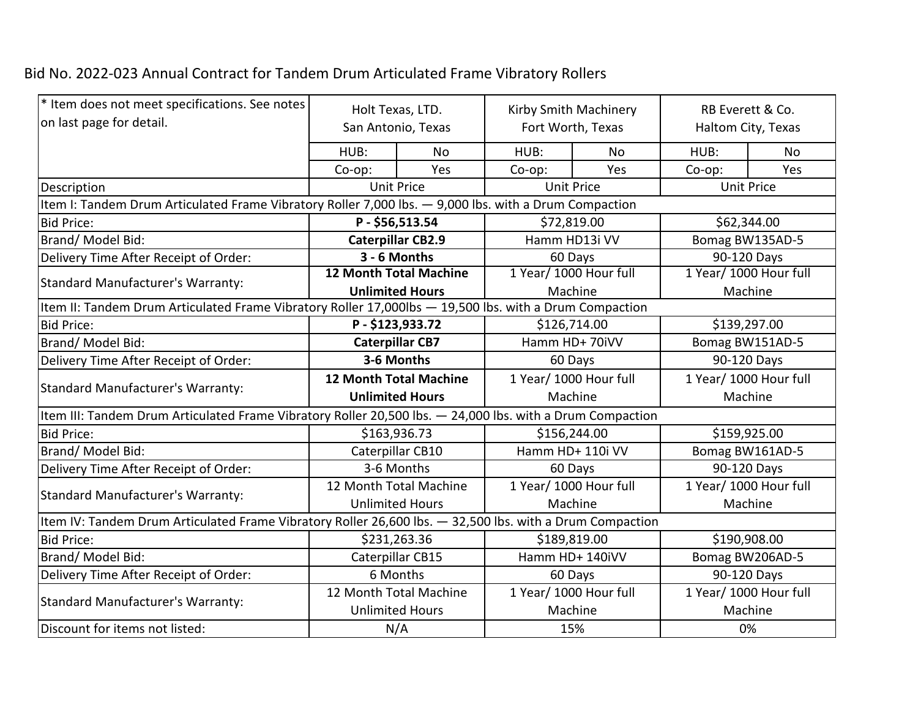## Bid No. 2022-023 Annual Contract for Tandem Drum Articulated Frame Vibratory Rollers

| <sup>*</sup> Item does not meet specifications. See notes                                                 | Holt Texas, LTD.<br>San Antonio, Texas                                                                |                  | Kirby Smith Machinery<br>Fort Worth, Texas |     | RB Everett & Co.<br>Haltom City, Texas |     |  |  |
|-----------------------------------------------------------------------------------------------------------|-------------------------------------------------------------------------------------------------------|------------------|--------------------------------------------|-----|----------------------------------------|-----|--|--|
| on last page for detail.                                                                                  |                                                                                                       |                  |                                            |     |                                        |     |  |  |
|                                                                                                           | HUB:                                                                                                  | No               | HUB:                                       | No  | HUB:                                   | No  |  |  |
|                                                                                                           | Co-op:                                                                                                | Yes              | $Co$ -op:                                  | Yes | Co-op:                                 | Yes |  |  |
| Description                                                                                               | <b>Unit Price</b>                                                                                     |                  | <b>Unit Price</b>                          |     | <b>Unit Price</b>                      |     |  |  |
|                                                                                                           | Item I: Tandem Drum Articulated Frame Vibratory Roller 7,000 lbs. - 9,000 lbs. with a Drum Compaction |                  |                                            |     |                                        |     |  |  |
| <b>Bid Price:</b>                                                                                         | P-\$56,513.54<br>\$72,819.00                                                                          |                  | \$62,344.00                                |     |                                        |     |  |  |
| Brand/Model Bid:                                                                                          | <b>Caterpillar CB2.9</b>                                                                              |                  | Hamm HD13i VV                              |     | Bomag BW135AD-5                        |     |  |  |
| Delivery Time After Receipt of Order:                                                                     | 3 - 6 Months                                                                                          |                  | 60 Days                                    |     | 90-120 Days                            |     |  |  |
| Standard Manufacturer's Warranty:                                                                         | <b>12 Month Total Machine</b>                                                                         |                  | 1 Year/ 1000 Hour full                     |     | 1 Year/ 1000 Hour full                 |     |  |  |
|                                                                                                           | <b>Unlimited Hours</b>                                                                                |                  | Machine                                    |     | Machine                                |     |  |  |
| Item II: Tandem Drum Articulated Frame Vibratory Roller 17,000lbs — 19,500 lbs. with a Drum Compaction    |                                                                                                       |                  |                                            |     |                                        |     |  |  |
| <b>Bid Price:</b>                                                                                         | P-\$123,933.72                                                                                        |                  | \$126,714.00                               |     | \$139,297.00                           |     |  |  |
| Brand/Model Bid:                                                                                          | <b>Caterpillar CB7</b>                                                                                |                  | Hamm HD+ 70iVV                             |     | Bomag BW151AD-5                        |     |  |  |
| Delivery Time After Receipt of Order:                                                                     | 3-6 Months                                                                                            |                  | 60 Days                                    |     | 90-120 Days                            |     |  |  |
| Standard Manufacturer's Warranty:                                                                         | <b>12 Month Total Machine</b>                                                                         |                  | 1 Year/ 1000 Hour full                     |     | 1 Year/ 1000 Hour full                 |     |  |  |
|                                                                                                           | <b>Unlimited Hours</b>                                                                                |                  | Machine                                    |     | Machine                                |     |  |  |
| Item III: Tandem Drum Articulated Frame Vibratory Roller 20,500 lbs. — 24,000 lbs. with a Drum Compaction |                                                                                                       |                  |                                            |     |                                        |     |  |  |
| <b>Bid Price:</b>                                                                                         |                                                                                                       | \$163,936.73     | \$156,244.00<br>\$159,925.00               |     |                                        |     |  |  |
| Brand/ Model Bid:                                                                                         |                                                                                                       | Caterpillar CB10 | Hamm HD+ 110i VV                           |     | Bomag BW161AD-5                        |     |  |  |
| Delivery Time After Receipt of Order:                                                                     |                                                                                                       | 3-6 Months       | 60 Days                                    |     | 90-120 Days                            |     |  |  |
| Standard Manufacturer's Warranty:                                                                         | 12 Month Total Machine                                                                                |                  | 1 Year/ 1000 Hour full                     |     | 1 Year/ 1000 Hour full                 |     |  |  |
|                                                                                                           | <b>Unlimited Hours</b>                                                                                |                  | Machine                                    |     | Machine                                |     |  |  |
| Item IV: Tandem Drum Articulated Frame Vibratory Roller 26,600 lbs. — 32,500 lbs. with a Drum Compaction  |                                                                                                       |                  |                                            |     |                                        |     |  |  |
| <b>Bid Price:</b>                                                                                         |                                                                                                       | \$231,263.36     | \$189,819.00                               |     | \$190,908.00                           |     |  |  |
| Brand/Model Bid:                                                                                          |                                                                                                       | Caterpillar CB15 | Hamm HD+ 140iVV<br>Bomag BW206AD-5         |     |                                        |     |  |  |
| Delivery Time After Receipt of Order:                                                                     |                                                                                                       | 6 Months         | 90-120 Days<br>60 Days                     |     |                                        |     |  |  |
| Standard Manufacturer's Warranty:                                                                         | 12 Month Total Machine                                                                                |                  | 1 Year/ 1000 Hour full                     |     | 1 Year/ 1000 Hour full                 |     |  |  |
|                                                                                                           | <b>Unlimited Hours</b>                                                                                |                  | Machine                                    |     | Machine                                |     |  |  |
| Discount for items not listed:                                                                            |                                                                                                       | N/A              | 15%                                        |     | 0%                                     |     |  |  |